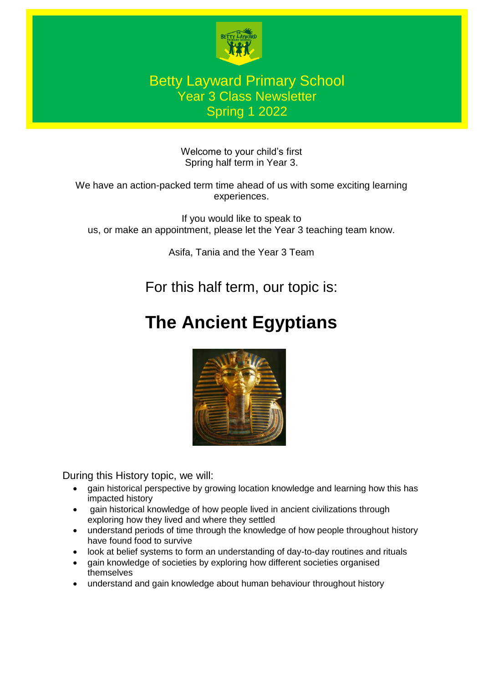

## Betty Layward Primary School Year 3 Class Newsletter Spring 1 2022

Welcome to your child's first Spring half term in Year 3.

We have an action-packed term time ahead of us with some exciting learning experiences.

If you would like to speak to us, or make an appointment, please let the Year 3 teaching team know.

Asifa, Tania and the Year 3 Team

For this half term, our topic is:

# **The Ancient Egyptians**



During this History topic, we will:

- gain historical perspective by growing location knowledge and learning how this has impacted history
- gain historical knowledge of how people lived in ancient civilizations through exploring how they lived and where they settled
- understand periods of time through the knowledge of how people throughout history have found food to survive
- look at belief systems to form an understanding of day-to-day routines and rituals
- gain knowledge of societies by exploring how different societies organised themselves
- understand and gain knowledge about human behaviour throughout history